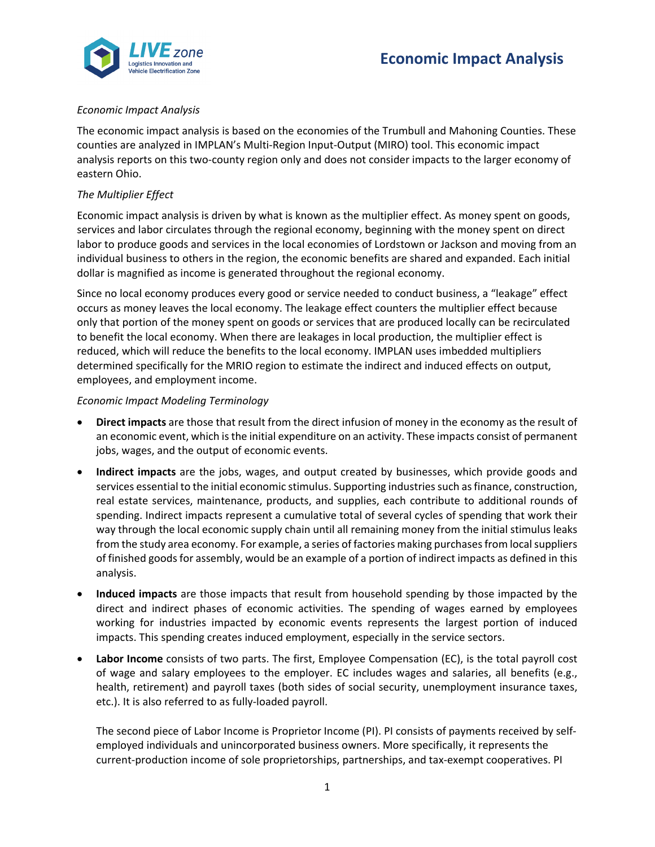



# *Economic Impact Analysis*

The economic impact analysis is based on the economies of the Trumbull and Mahoning Counties. These counties are analyzed in IMPLAN's Multi-Region Input-Output (MIRO) tool. This economic impact analysis reports on this two-county region only and does not consider impacts to the larger economy of eastern Ohio.

# *The Multiplier Effect*

Economic impact analysis is driven by what is known as the multiplier effect. As money spent on goods, services and labor circulates through the regional economy, beginning with the money spent on direct labor to produce goods and services in the local economies of Lordstown or Jackson and moving from an individual business to others in the region, the economic benefits are shared and expanded. Each initial dollar is magnified as income is generated throughout the regional economy.

Since no local economy produces every good or service needed to conduct business, a "leakage" effect occurs as money leaves the local economy. The leakage effect counters the multiplier effect because only that portion of the money spent on goods or services that are produced locally can be recirculated to benefit the local economy. When there are leakages in local production, the multiplier effect is reduced, which will reduce the benefits to the local economy. IMPLAN uses imbedded multipliers determined specifically for the MRIO region to estimate the indirect and induced effects on output, employees, and employment income.

### *Economic Impact Modeling Terminology*

- **Direct impacts** are those that result from the direct infusion of money in the economy as the result of an economic event, which is the initial expenditure on an activity. These impacts consist of permanent jobs, wages, and the output of economic events.
- **Indirect impacts** are the jobs, wages, and output created by businesses, which provide goods and services essential to the initial economic stimulus. Supporting industries such as finance, construction, real estate services, maintenance, products, and supplies, each contribute to additional rounds of spending. Indirect impacts represent a cumulative total of several cycles of spending that work their way through the local economic supply chain until all remaining money from the initial stimulus leaks from the study area economy. For example, a series of factories making purchases from local suppliers of finished goods for assembly, would be an example of a portion of indirect impacts as defined in this analysis.
- **Induced impacts** are those impacts that result from household spending by those impacted by the direct and indirect phases of economic activities. The spending of wages earned by employees working for industries impacted by economic events represents the largest portion of induced impacts. This spending creates induced employment, especially in the service sectors.
- **Labor Income** consists of two parts. The first, Employee Compensation (EC), is the total payroll cost of wage and salary employees to the employer. EC includes wages and salaries, all benefits (e.g., health, retirement) and payroll taxes (both sides of social security, unemployment insurance taxes, etc.). It is also referred to as fully-loaded payroll.

The second piece of Labor Income is Proprietor Income (PI). PI consists of payments received by selfemployed individuals and unincorporated business owners. More specifically, it represents the current-production income of sole proprietorships, partnerships, and tax-exempt cooperatives. PI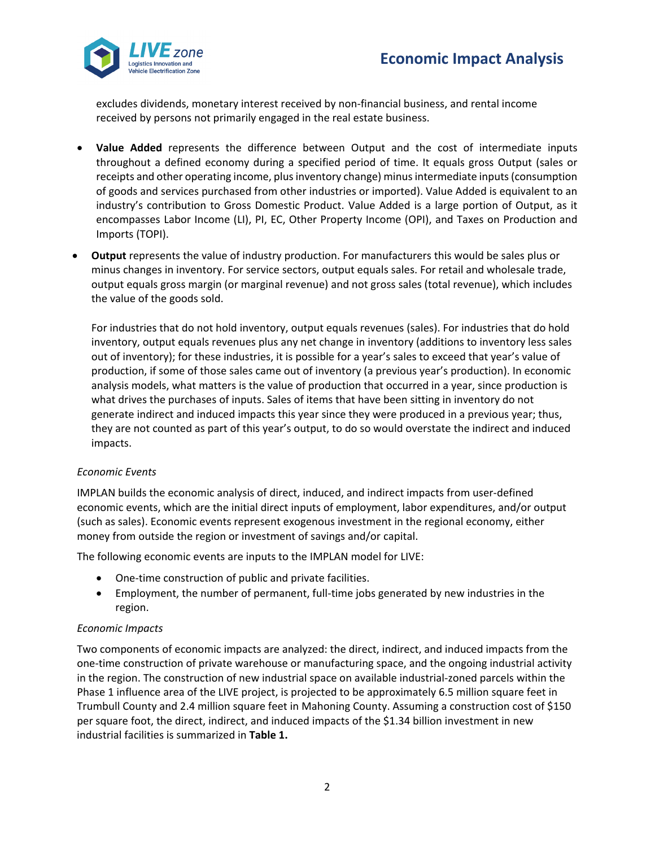

excludes dividends, monetary interest received by non-financial business, and rental income received by persons not primarily engaged in the real estate business.

- **Value Added** represents the difference between Output and the cost of intermediate inputs throughout a defined economy during a specified period of time. It equals gross Output (sales or receipts and other operating income, plus inventory change) minus intermediate inputs (consumption of goods and services purchased from other industries or imported). Value Added is equivalent to an industry's contribution to Gross Domestic Product. Value Added is a large portion of Output, as it encompasses Labor Income (LI), PI, EC, Other Property Income (OPI), and Taxes on Production and Imports (TOPI).
- **Output** represents the value of industry production. For manufacturers this would be sales plus or minus changes in inventory. For service sectors, output equals sales. For retail and wholesale trade, output equals gross margin (or marginal revenue) and not gross sales (total revenue), which includes the value of the goods sold.

For industries that do not hold inventory, output equals revenues (sales). For industries that do hold inventory, output equals revenues plus any net change in inventory (additions to inventory less sales out of inventory); for these industries, it is possible for a year's sales to exceed that year's value of production, if some of those sales came out of inventory (a previous year's production). In economic analysis models, what matters is the value of production that occurred in a year, since production is what drives the purchases of inputs. Sales of items that have been sitting in inventory do not generate indirect and induced impacts this year since they were produced in a previous year; thus, they are not counted as part of this year's output, to do so would overstate the indirect and induced impacts.

### *Economic Events*

IMPLAN builds the economic analysis of direct, induced, and indirect impacts from user-defined economic events, which are the initial direct inputs of employment, labor expenditures, and/or output (such as sales). Economic events represent exogenous investment in the regional economy, either money from outside the region or investment of savings and/or capital.

The following economic events are inputs to the IMPLAN model for LIVE:

- One-time construction of public and private facilities.
- Employment, the number of permanent, full-time jobs generated by new industries in the region.

### *Economic Impacts*

Two components of economic impacts are analyzed: the direct, indirect, and induced impacts from the one-time construction of private warehouse or manufacturing space, and the ongoing industrial activity in the region. The construction of new industrial space on available industrial-zoned parcels within the Phase 1 influence area of the LIVE project, is projected to be approximately 6.5 million square feet in Trumbull County and 2.4 million square feet in Mahoning County. Assuming a construction cost of \$150 per square foot, the direct, indirect, and induced impacts of the \$1.34 billion investment in new industrial facilities is summarized in **Table 1.**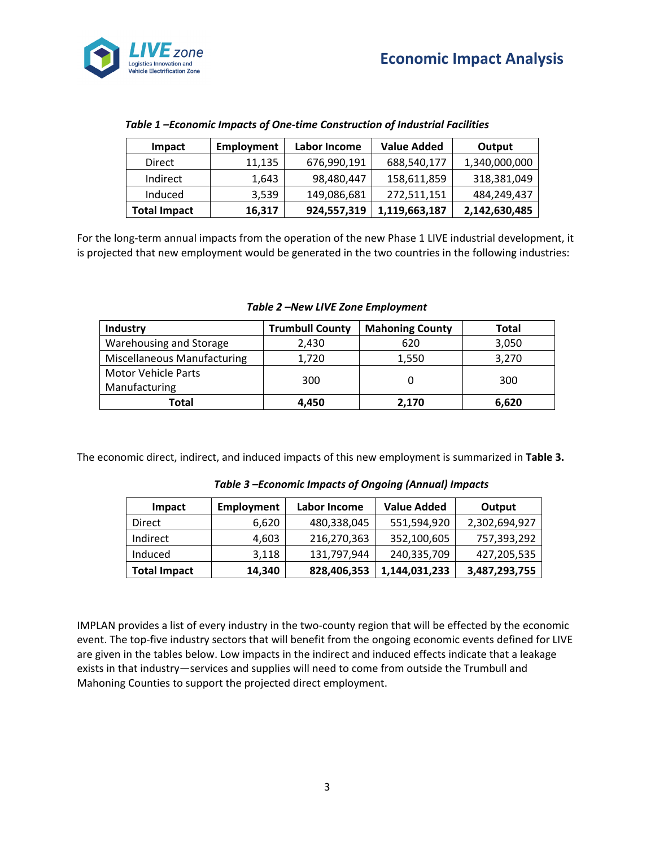

| <b>Impact</b>       | <b>Employment</b> | <b>Value Added</b><br>Labor Income |               | Output        |  |
|---------------------|-------------------|------------------------------------|---------------|---------------|--|
| Direct              | 11,135            | 676,990,191                        | 688,540,177   | 1,340,000,000 |  |
| Indirect            | 1,643             | 98,480,447                         | 158,611,859   | 318,381,049   |  |
| Induced             | 3,539             | 149,086,681                        | 272,511,151   | 484,249,437   |  |
| <b>Total Impact</b> | 16,317            | 924,557,319                        | 1,119,663,187 | 2,142,630,485 |  |

*Table 1 –Economic Impacts of One-time Construction of Industrial Facilities*

For the long-term annual impacts from the operation of the new Phase 1 LIVE industrial development, it is projected that new employment would be generated in the two countries in the following industries:

| Industry                           | <b>Trumbull County</b> | <b>Mahoning County</b> | <b>Total</b> |  |
|------------------------------------|------------------------|------------------------|--------------|--|
| Warehousing and Storage            | 2,430                  | 620                    | 3,050        |  |
| <b>Miscellaneous Manufacturing</b> | 1,720                  | 1,550                  | 3,270        |  |
| <b>Motor Vehicle Parts</b>         |                        |                        | 300          |  |
| Manufacturing                      | 300                    |                        |              |  |
| Total                              | 4.450                  | 2.170                  | 6,620        |  |

*Table 2 –New LIVE Zone Employment*

The economic direct, indirect, and induced impacts of this new employment is summarized in **Table 3.**

| <b>Impact</b>       | <b>Employment</b> | Labor Income | <b>Value Added</b> | Output        |
|---------------------|-------------------|--------------|--------------------|---------------|
| Direct              | 6,620             | 480,338,045  | 551,594,920        | 2,302,694,927 |
| Indirect            | 4,603             | 216,270,363  | 352,100,605        | 757,393,292   |
| Induced             | 3,118             | 131,797,944  | 240,335,709        | 427,205,535   |
| <b>Total Impact</b> | 14,340            | 828,406,353  | 1,144,031,233      | 3,487,293,755 |

*Table 3 –Economic Impacts of Ongoing (Annual) Impacts*

IMPLAN provides a list of every industry in the two-county region that will be effected by the economic event. The top-five industry sectors that will benefit from the ongoing economic events defined for LIVE are given in the tables below. Low impacts in the indirect and induced effects indicate that a leakage exists in that industry—services and supplies will need to come from outside the Trumbull and Mahoning Counties to support the projected direct employment.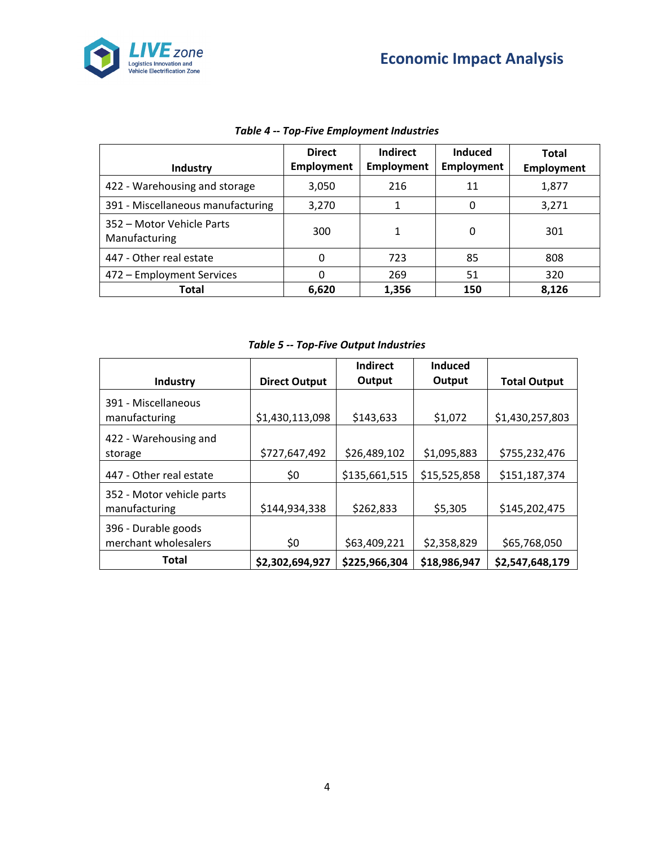



| <b>Industry</b>                            | <b>Direct</b><br><b>Employment</b> | <b>Indirect</b><br><b>Employment</b> | <b>Induced</b><br><b>Employment</b> | <b>Total</b><br><b>Employment</b> |
|--------------------------------------------|------------------------------------|--------------------------------------|-------------------------------------|-----------------------------------|
| 422 - Warehousing and storage              | 3,050                              | 216                                  | 11                                  | 1,877                             |
| 391 - Miscellaneous manufacturing          | 3,270                              | 1                                    | 0                                   | 3,271                             |
| 352 – Motor Vehicle Parts<br>Manufacturing | 300                                | 1                                    | 0                                   | 301                               |
| 447 - Other real estate                    | 0                                  | 723                                  | 85                                  | 808                               |
| 472 - Employment Services                  | 0                                  | 269                                  | 51                                  | 320                               |
| Total                                      | 6,620                              | 1,356                                | 150                                 | 8,126                             |

# *Table 4 -- Top-Five Employment Industries*

*Table 5 -- Top-Five Output Industries*

|                                             |                      | Indirect      | Induced      |                     |
|---------------------------------------------|----------------------|---------------|--------------|---------------------|
| Industry                                    | <b>Direct Output</b> | Output        | Output       | <b>Total Output</b> |
| 391 - Miscellaneous<br>manufacturing        | \$1,430,113,098      | \$143,633     | \$1,072      | \$1,430,257,803     |
| 422 - Warehousing and<br>storage            | \$727,647,492        | \$26,489,102  | \$1,095,883  | \$755,232,476       |
| 447 - Other real estate                     | \$0                  | \$135,661,515 | \$15,525,858 | \$151,187,374       |
| 352 - Motor vehicle parts<br>manufacturing  | \$144,934,338        | \$262,833     | \$5,305      | \$145,202,475       |
| 396 - Durable goods<br>merchant wholesalers | \$0                  | \$63,409,221  | \$2,358,829  | \$65,768,050        |
| <b>Total</b>                                | \$2,302,694,927      | \$225,966,304 | \$18,986,947 | \$2,547,648,179     |